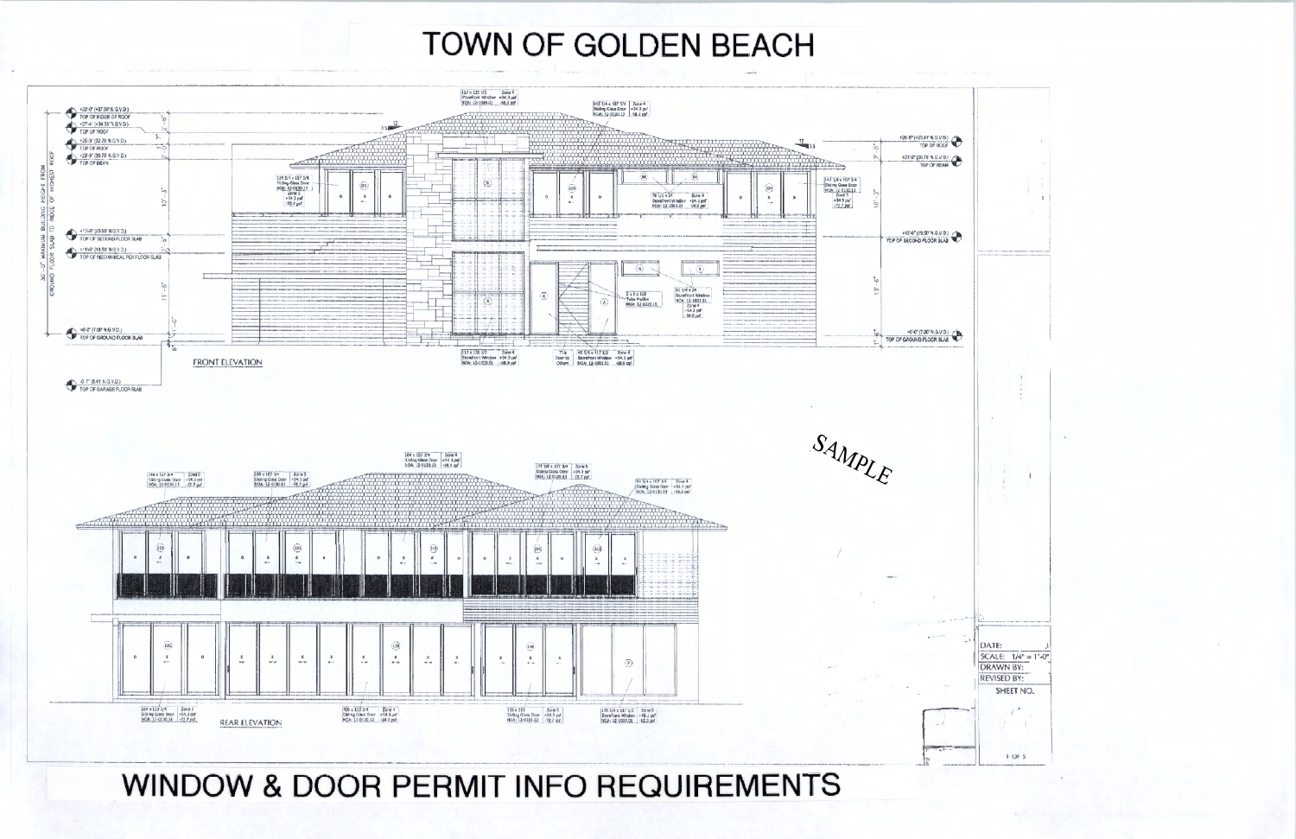